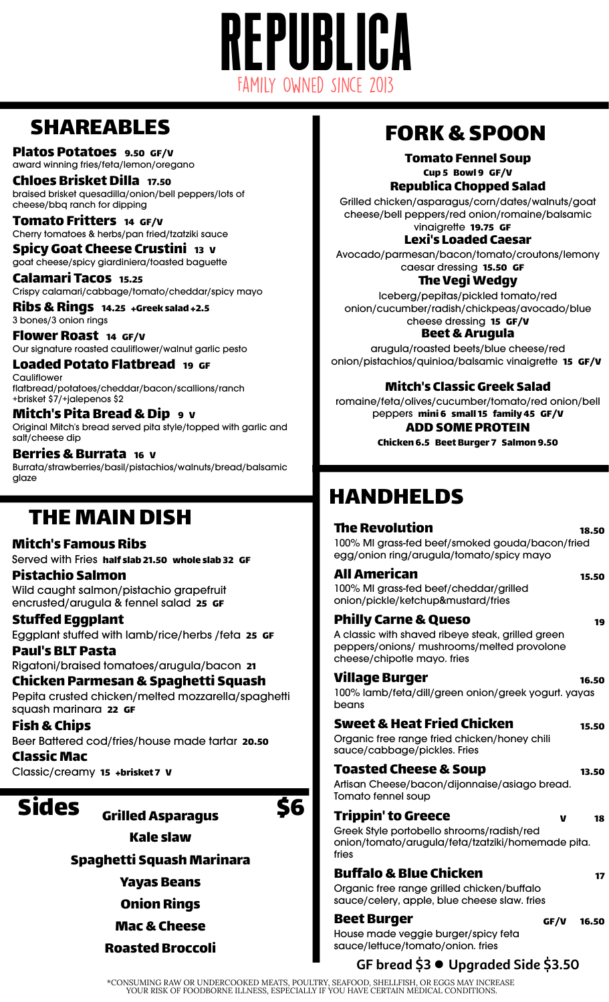# REPUBLICA Family Owned Since 2013

## SHAREABLES

Platos Potatoes 9.50 GF/V award winning fries/feta/lemon/oregano

Chloes Brisket Dilla 17.50 braised brisket quesadilla/onion/bell peppers/lots of cheese/bbq ranch for dipping

Tomato Fritters <sup>14</sup> GF/V Cherry tomatoes & herbs/pan fried/tzatziki sauce

Spicy Goat Cheese Crustini <sup>13</sup> <sup>V</sup> goat cheese/spicy giardiniera/toasted baguette

Calamari Tacos 15.25 Crispy calamari/cabbage/tomato/cheddar/spicy mayo

Ribs&Rings 14.25 +Greek salad +2.5 3 bones/3 onion rings

Flower Roast <sup>14</sup> GF/V Our signature roasted cauliflower/walnut garlic pesto

Loaded Potato Flatbread <sup>19</sup> GF **Cauliflower** flatbread/potatoes/cheddar/bacon/scallions/ranch +brisket \$7/+jalepenos \$2

Mitch's Pita Bread&Dip <sup>9</sup> <sup>V</sup> Original Mitch's bread served pita style/topped with garlic and salt/cheese dip

Berries & Burrata 16 v Burrata/strawberries/basil/pistachios/walnuts/bread/balsamic glaze

## THE MAIN DISH

#### Mitch's Famous Ribs

Served with Fries half slab 21.50 whole slab 32 GF Pistachio Salmon

Wild caught salmon/pistachio grapefruit encrusted/arugula & fennel salad 25 GF

Stuffed Eggplant Eggplant stuffed with lamb/rice/herbs /feta 25 GF

Paul's BLT Pasta Rigatoni/braised tomatoes/arugula/bacon 21

Chicken Parmesan&Spaghetti Squash Pepita crusted chicken/melted mozzarella/spaghetti squash marinara 22 GF

Fish&Chips Beer Battered cod/fries/house made tartar 20.50 Classic Mac

Classic/creamy 15 +brisket 7 V

## Sides <sub>Grilled Asparagus</sub> \$6

Kale slaw

Spaghetti Squash Marinara

Yayas Beans

Onion Rings

Mac&Cheese

Roasted Broccoli

## FORK&SPOON

Tomato Fennel Soup Cup 5 Bowl 9 GF/V Republica Chopped Salad

Grilled chicken/asparagus/corn/dates/walnuts/goat cheese/bell peppers/red onion/romaine/balsamic vinaigrette 19.75 GF

Lexi's Loaded Caesar

Avocado/parmesan/bacon/tomato/croutons/lemony caesar dressing 15.50 GF

The Vegi Wedgy

Iceberg/pepitas/pickled tomato/red onion/cucumber/radish/chickpeas/avocado/blue cheese dressing 15 GF/V

Beet&Arugula arugula/roasted beets/blue cheese/red onion/pistachios/quinioa/balsamic vinaigrette 15 GF/V

### Mitch's Classic Greek Salad

romaine/feta/olives/cucumber/tomato/red onion/bell peppers mini 6 small 15 family 45 GF/V ADDSOME PROTEIN

Chicken 6.5 Beet Burger 7 Salmon 9.50

## HANDHELDS

#### The Revolution 18.50 100% MI grass-fed beef/smoked gouda/bacon/fried egg/onion ring/arugula/tomato/spicy mayo

#### All American 15.50 100% MI grass-fed beef/cheddar/grilled

onion/pickle/ketchup&mustard/fries

### Philly Carne & Queso **19**

A classic with shaved ribeye steak, grilled green peppers/onions/ mushrooms/melted provolone cheese/chipotle mayo. fries

### Village Burger 16.50

100% lamb/feta/dill/green onion/greek yogurt. yayas beans

### Sweet&Heat Fried Chicken 15.50

Organic free range fried chicken/honey chili sauce/cabbage/pickles. Fries

Toasted Cheese & Soup 13.50

Artisan Cheese/bacon/dijonnaise/asiago bread. Tomato fennel soup

### $Trippin' to Greece  $\gamma$  18$

Greek Style portobello shrooms/radish/red onion/tomato/arugula/feta/tzatziki/homemade pita. fries

### Buffalo & Blue Chicken 17

Organic free range grilled chicken/buffalo sauce/celery, apple, blue cheese slaw. fries

Beet Burger GF/V 16.50 House made veggie burger/spicy feta sauce/lettuce/tomato/onion. fries

## **GF bread \$3 Upgraded Side \$3.50**

\*CONSUMING RAW OR UNDERCOOKED MEATS, POULTRY, SEAFOOD, SHELLFISH, OR EGGS MAY INCREASE YOUR RISK OF FOODBORNE ILLNESS, ESPECIALLY IF YOU HAVE CERTAIN MEDICAL CONDITIONS.